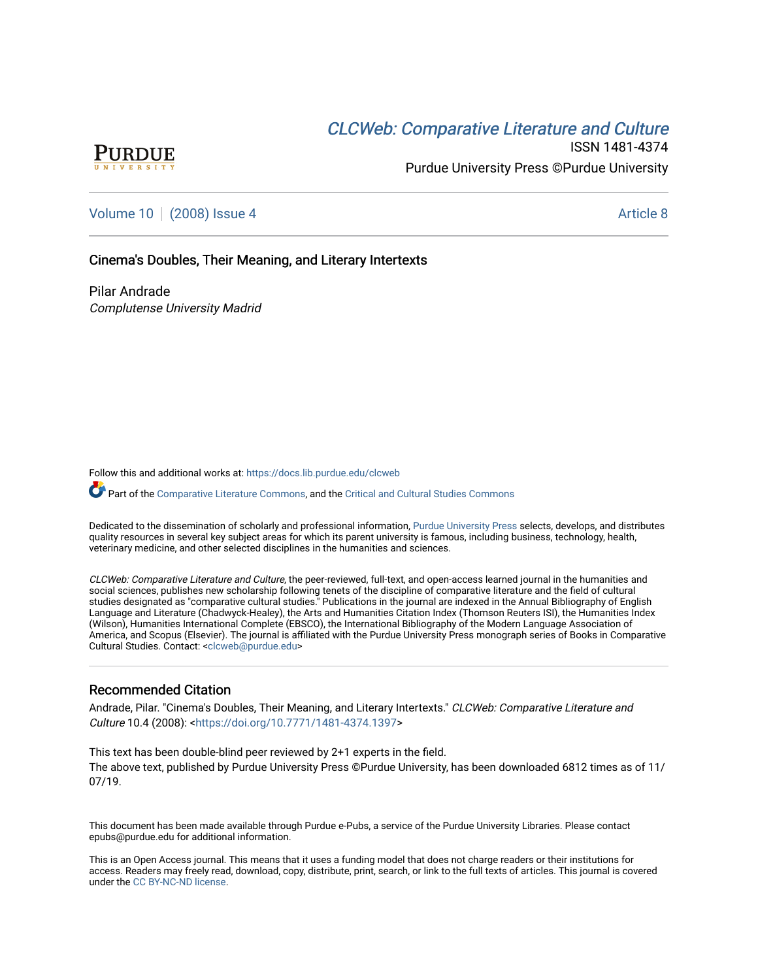# **CLCW[eb: Comparative Liter](https://docs.lib.purdue.edu/clcweb)ature and Culture**



ISSN 1481-4374 Purdue University Press ©Purdue University

## [Volume 10](https://docs.lib.purdue.edu/clcweb/vol10) | [\(2008\) Issue 4](https://docs.lib.purdue.edu/clcweb/vol10/iss4) Article 8

### Cinema's Doubles, Their Meaning, and Literary Intertexts

Pilar Andrade Complutense University Madrid

Follow this and additional works at: [https://docs.lib.purdue.edu/clcweb](https://docs.lib.purdue.edu/clcweb?utm_source=docs.lib.purdue.edu%2Fclcweb%2Fvol10%2Fiss4%2F8&utm_medium=PDF&utm_campaign=PDFCoverPages)

Part of the [Comparative Literature Commons,](http://network.bepress.com/hgg/discipline/454?utm_source=docs.lib.purdue.edu%2Fclcweb%2Fvol10%2Fiss4%2F8&utm_medium=PDF&utm_campaign=PDFCoverPages) and the Critical and Cultural Studies Commons

Dedicated to the dissemination of scholarly and professional information, [Purdue University Press](http://www.thepress.purdue.edu/) selects, develops, and distributes quality resources in several key subject areas for which its parent university is famous, including business, technology, health, veterinary medicine, and other selected disciplines in the humanities and sciences.

CLCWeb: Comparative Literature and Culture, the peer-reviewed, full-text, and open-access learned journal in the humanities and social sciences, publishes new scholarship following tenets of the discipline of comparative literature and the field of cultural studies designated as "comparative cultural studies." Publications in the journal are indexed in the Annual Bibliography of English Language and Literature (Chadwyck-Healey), the Arts and Humanities Citation Index (Thomson Reuters ISI), the Humanities Index (Wilson), Humanities International Complete (EBSCO), the International Bibliography of the Modern Language Association of America, and Scopus (Elsevier). The journal is affiliated with the Purdue University Press monograph series of Books in Comparative Cultural Studies. Contact: [<clcweb@purdue.edu](mailto:clcweb@purdue.edu)>

### Recommended Citation

Andrade, Pilar. "Cinema's Doubles, Their Meaning, and Literary Intertexts." CLCWeb: Comparative Literature and Culture 10.4 (2008): <[https://doi.org/10.7771/1481-4374.1397>](https://doi.org/10.7771/1481-4374.1397)

This text has been double-blind peer reviewed by 2+1 experts in the field. The above text, published by Purdue University Press ©Purdue University, has been downloaded 6812 times as of 11/ 07/19.

This document has been made available through Purdue e-Pubs, a service of the Purdue University Libraries. Please contact epubs@purdue.edu for additional information.

This is an Open Access journal. This means that it uses a funding model that does not charge readers or their institutions for access. Readers may freely read, download, copy, distribute, print, search, or link to the full texts of articles. This journal is covered under the [CC BY-NC-ND license.](https://creativecommons.org/licenses/by-nc-nd/4.0/)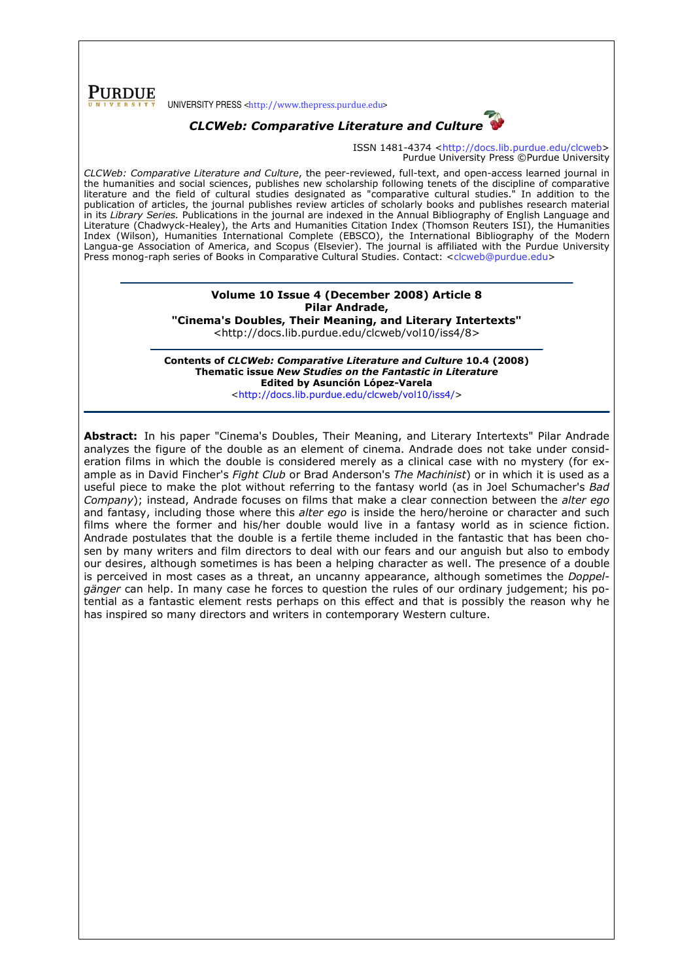**PURDUE** 

UNIVERSITY PRESS <http://www.thepress.purdue.edu>

### CLCWeb: Comparative Literature and Culture

ISSN 1481-4374 <http://docs.lib.purdue.edu/clcweb> Purdue University Press ©Purdue University

CLCWeb: Comparative Literature and Culture, the peer-reviewed, full-text, and open-access learned journal in the humanities and social sciences, publishes new scholarship following tenets of the discipline of comparative literature and the field of cultural studies designated as "comparative cultural studies." In addition to the publication of articles, the journal publishes review articles of scholarly books and publishes research material in its Library Series. Publications in the journal are indexed in the Annual Bibliography of English Language and Literature (Chadwyck-Healey), the Arts and Humanities Citation Index (Thomson Reuters ISI), the Humanities Index (Wilson), Humanities International Complete (EBSCO), the International Bibliography of the Modern Langua-ge Association of America, and Scopus (Elsevier). The journal is affiliated with the Purdue University Press monog-raph series of Books in Comparative Cultural Studies. Contact: <clcweb@purdue.edu>

### Volume 10 Issue 4 (December 2008) Article 8 Pilar Andrade, "Cinema's Doubles, Their Meaning, and Literary Intertexts"

<http://docs.lib.purdue.edu/clcweb/vol10/iss4/8>

Contents of CLCWeb: Comparative Literature and Culture 10.4 (2008) Thematic issue New Studies on the Fantastic in Literature Edited by Asunción López-Varela <http://docs.lib.purdue.edu/clcweb/vol10/iss4/>

Abstract: In his paper "Cinema's Doubles, Their Meaning, and Literary Intertexts" Pilar Andrade analyzes the figure of the double as an element of cinema. Andrade does not take under consideration films in which the double is considered merely as a clinical case with no mystery (for example as in David Fincher's Fight Club or Brad Anderson's The Machinist) or in which it is used as a useful piece to make the plot without referring to the fantasy world (as in Joel Schumacher's Bad Company); instead, Andrade focuses on films that make a clear connection between the alter ego and fantasy, including those where this *alter ego* is inside the hero/heroine or character and such films where the former and his/her double would live in a fantasy world as in science fiction. Andrade postulates that the double is a fertile theme included in the fantastic that has been chosen by many writers and film directors to deal with our fears and our anguish but also to embody our desires, although sometimes is has been a helping character as well. The presence of a double is perceived in most cases as a threat, an uncanny appearance, although sometimes the Doppelgänger can help. In many case he forces to question the rules of our ordinary judgement; his potential as a fantastic element rests perhaps on this effect and that is possibly the reason why he has inspired so many directors and writers in contemporary Western culture.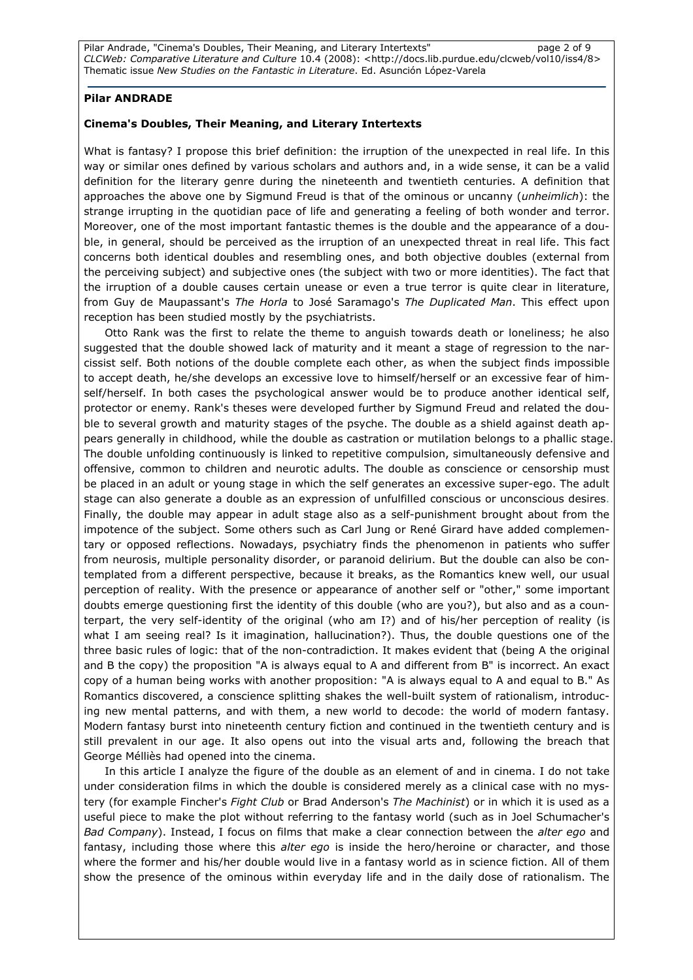Pilar Andrade, "Cinema's Doubles, Their Meaning, and Literary Intertexts" entity and page 2 of 9 CLCWeb: Comparative Literature and Culture 10.4 (2008): <http://docs.lib.purdue.edu/clcweb/vol10/iss4/8> Thematic issue New Studies on the Fantastic in Literature. Ed. Asunción López-Varela

#### Pilar ANDRADE

#### Cinema's Doubles, Their Meaning, and Literary Intertexts

What is fantasy? I propose this brief definition: the irruption of the unexpected in real life. In this way or similar ones defined by various scholars and authors and, in a wide sense, it can be a valid definition for the literary genre during the nineteenth and twentieth centuries. A definition that approaches the above one by Sigmund Freud is that of the ominous or uncanny (unheimlich): the strange irrupting in the quotidian pace of life and generating a feeling of both wonder and terror. Moreover, one of the most important fantastic themes is the double and the appearance of a double, in general, should be perceived as the irruption of an unexpected threat in real life. This fact concerns both identical doubles and resembling ones, and both objective doubles (external from the perceiving subject) and subjective ones (the subject with two or more identities). The fact that the irruption of a double causes certain unease or even a true terror is quite clear in literature, from Guy de Maupassant's The Horla to José Saramago's The Duplicated Man. This effect upon reception has been studied mostly by the psychiatrists.

Otto Rank was the first to relate the theme to anguish towards death or loneliness; he also suggested that the double showed lack of maturity and it meant a stage of regression to the narcissist self. Both notions of the double complete each other, as when the subject finds impossible to accept death, he/she develops an excessive love to himself/herself or an excessive fear of himself/herself. In both cases the psychological answer would be to produce another identical self, protector or enemy. Rank's theses were developed further by Sigmund Freud and related the double to several growth and maturity stages of the psyche. The double as a shield against death appears generally in childhood, while the double as castration or mutilation belongs to a phallic stage. The double unfolding continuously is linked to repetitive compulsion, simultaneously defensive and offensive, common to children and neurotic adults. The double as conscience or censorship must be placed in an adult or young stage in which the self generates an excessive super-ego. The adult stage can also generate a double as an expression of unfulfilled conscious or unconscious desires. Finally, the double may appear in adult stage also as a self-punishment brought about from the impotence of the subject. Some others such as Carl Jung or René Girard have added complementary or opposed reflections. Nowadays, psychiatry finds the phenomenon in patients who suffer from neurosis, multiple personality disorder, or paranoid delirium. But the double can also be contemplated from a different perspective, because it breaks, as the Romantics knew well, our usual perception of reality. With the presence or appearance of another self or "other," some important doubts emerge questioning first the identity of this double (who are you?), but also and as a counterpart, the very self-identity of the original (who am I?) and of his/her perception of reality (is what I am seeing real? Is it imagination, hallucination?). Thus, the double questions one of the three basic rules of logic: that of the non-contradiction. It makes evident that (being A the original and B the copy) the proposition "A is always equal to A and different from B" is incorrect. An exact copy of a human being works with another proposition: "A is always equal to A and equal to B." As Romantics discovered, a conscience splitting shakes the well-built system of rationalism, introducing new mental patterns, and with them, a new world to decode: the world of modern fantasy. Modern fantasy burst into nineteenth century fiction and continued in the twentieth century and is still prevalent in our age. It also opens out into the visual arts and, following the breach that George Mélliès had opened into the cinema.

In this article I analyze the figure of the double as an element of and in cinema. I do not take under consideration films in which the double is considered merely as a clinical case with no mystery (for example Fincher's Fight Club or Brad Anderson's The Machinist) or in which it is used as a useful piece to make the plot without referring to the fantasy world (such as in Joel Schumacher's Bad Company). Instead, I focus on films that make a clear connection between the alter ego and fantasy, including those where this alter ego is inside the hero/heroine or character, and those where the former and his/her double would live in a fantasy world as in science fiction. All of them show the presence of the ominous within everyday life and in the daily dose of rationalism. The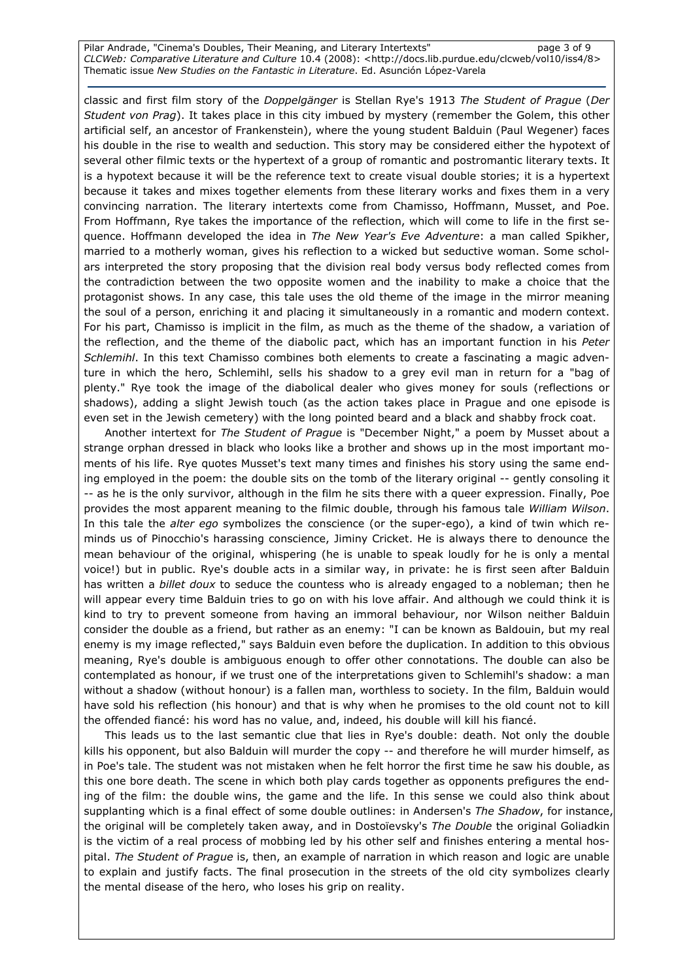Pilar Andrade, "Cinema's Doubles, Their Meaning, and Literary Intertexts" entity and page 3 of 9 CLCWeb: Comparative Literature and Culture 10.4 (2008): <http://docs.lib.purdue.edu/clcweb/vol10/iss4/8> Thematic issue New Studies on the Fantastic in Literature. Ed. Asunción López-Varela

classic and first film story of the Doppelgänger is Stellan Rye's 1913 The Student of Prague (Der Student von Prag). It takes place in this city imbued by mystery (remember the Golem, this other artificial self, an ancestor of Frankenstein), where the young student Balduin (Paul Wegener) faces his double in the rise to wealth and seduction. This story may be considered either the hypotext of several other filmic texts or the hypertext of a group of romantic and postromantic literary texts. It is a hypotext because it will be the reference text to create visual double stories; it is a hypertext because it takes and mixes together elements from these literary works and fixes them in a very convincing narration. The literary intertexts come from Chamisso, Hoffmann, Musset, and Poe. From Hoffmann, Rye takes the importance of the reflection, which will come to life in the first sequence. Hoffmann developed the idea in The New Year's Eve Adventure: a man called Spikher, married to a motherly woman, gives his reflection to a wicked but seductive woman. Some scholars interpreted the story proposing that the division real body versus body reflected comes from the contradiction between the two opposite women and the inability to make a choice that the protagonist shows. In any case, this tale uses the old theme of the image in the mirror meaning the soul of a person, enriching it and placing it simultaneously in a romantic and modern context. For his part, Chamisso is implicit in the film, as much as the theme of the shadow, a variation of the reflection, and the theme of the diabolic pact, which has an important function in his Peter Schlemihl. In this text Chamisso combines both elements to create a fascinating a magic adventure in which the hero, Schlemihl, sells his shadow to a grey evil man in return for a "bag of plenty." Rye took the image of the diabolical dealer who gives money for souls (reflections or shadows), adding a slight Jewish touch (as the action takes place in Prague and one episode is even set in the Jewish cemetery) with the long pointed beard and a black and shabby frock coat.

Another intertext for The Student of Prague is "December Night," a poem by Musset about a strange orphan dressed in black who looks like a brother and shows up in the most important moments of his life. Rye quotes Musset's text many times and finishes his story using the same ending employed in the poem: the double sits on the tomb of the literary original -- gently consoling it -- as he is the only survivor, although in the film he sits there with a queer expression. Finally, Poe provides the most apparent meaning to the filmic double, through his famous tale William Wilson. In this tale the *alter ego* symbolizes the conscience (or the super-ego), a kind of twin which reminds us of Pinocchio's harassing conscience, Jiminy Cricket. He is always there to denounce the mean behaviour of the original, whispering (he is unable to speak loudly for he is only a mental voice!) but in public. Rye's double acts in a similar way, in private: he is first seen after Balduin has written a *billet doux* to seduce the countess who is already engaged to a nobleman; then he will appear every time Balduin tries to go on with his love affair. And although we could think it is kind to try to prevent someone from having an immoral behaviour, nor Wilson neither Balduin consider the double as a friend, but rather as an enemy: "I can be known as Baldouin, but my real enemy is my image reflected," says Balduin even before the duplication. In addition to this obvious meaning, Rye's double is ambiguous enough to offer other connotations. The double can also be contemplated as honour, if we trust one of the interpretations given to Schlemihl's shadow: a man without a shadow (without honour) is a fallen man, worthless to society. In the film, Balduin would have sold his reflection (his honour) and that is why when he promises to the old count not to kill the offended fiancé: his word has no value, and, indeed, his double will kill his fiancé.

This leads us to the last semantic clue that lies in Rye's double: death. Not only the double kills his opponent, but also Balduin will murder the copy -- and therefore he will murder himself, as in Poe's tale. The student was not mistaken when he felt horror the first time he saw his double, as this one bore death. The scene in which both play cards together as opponents prefigures the ending of the film: the double wins, the game and the life. In this sense we could also think about supplanting which is a final effect of some double outlines: in Andersen's The Shadow, for instance, the original will be completely taken away, and in Dostoïevsky's The Double the original Goliadkin is the victim of a real process of mobbing led by his other self and finishes entering a mental hospital. The Student of Prague is, then, an example of narration in which reason and logic are unable to explain and justify facts. The final prosecution in the streets of the old city symbolizes clearly the mental disease of the hero, who loses his grip on reality.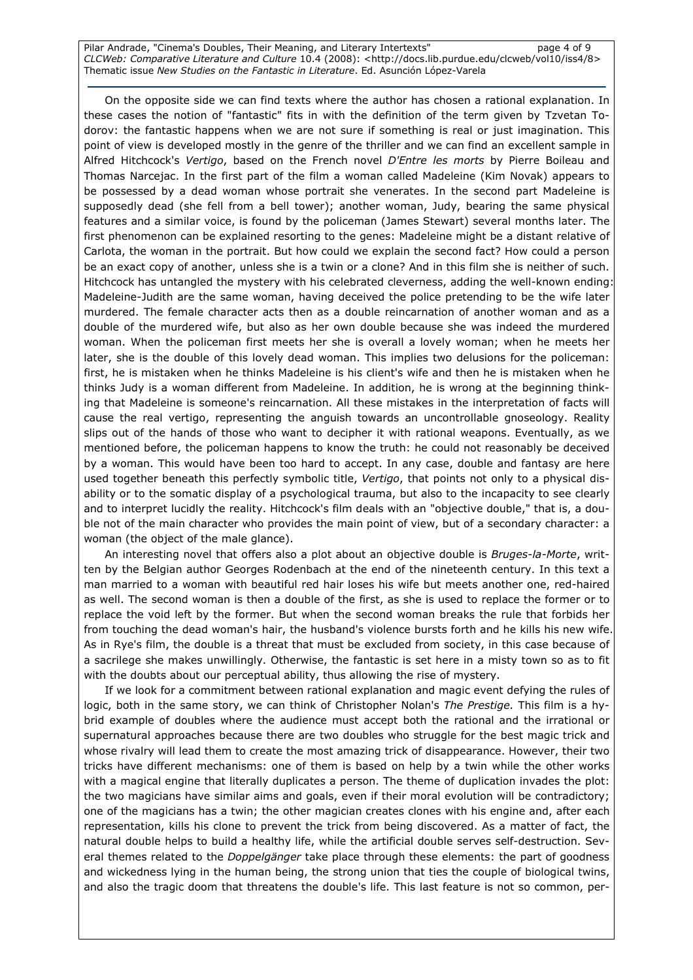Pilar Andrade, "Cinema's Doubles, Their Meaning, and Literary Intertexts" entity and the page 4 of 9 CLCWeb: Comparative Literature and Culture 10.4 (2008): <http://docs.lib.purdue.edu/clcweb/vol10/iss4/8> Thematic issue New Studies on the Fantastic in Literature. Ed. Asunción López-Varela

On the opposite side we can find texts where the author has chosen a rational explanation. In these cases the notion of "fantastic" fits in with the definition of the term given by Tzvetan Todorov: the fantastic happens when we are not sure if something is real or just imagination. This point of view is developed mostly in the genre of the thriller and we can find an excellent sample in Alfred Hitchcock's Vertigo, based on the French novel D'Entre les morts by Pierre Boileau and Thomas Narcejac. In the first part of the film a woman called Madeleine (Kim Novak) appears to be possessed by a dead woman whose portrait she venerates. In the second part Madeleine is supposedly dead (she fell from a bell tower); another woman, Judy, bearing the same physical features and a similar voice, is found by the policeman (James Stewart) several months later. The first phenomenon can be explained resorting to the genes: Madeleine might be a distant relative of Carlota, the woman in the portrait. But how could we explain the second fact? How could a person be an exact copy of another, unless she is a twin or a clone? And in this film she is neither of such. Hitchcock has untangled the mystery with his celebrated cleverness, adding the well-known ending: Madeleine-Judith are the same woman, having deceived the police pretending to be the wife later murdered. The female character acts then as a double reincarnation of another woman and as a double of the murdered wife, but also as her own double because she was indeed the murdered woman. When the policeman first meets her she is overall a lovely woman; when he meets her later, she is the double of this lovely dead woman. This implies two delusions for the policeman: first, he is mistaken when he thinks Madeleine is his client's wife and then he is mistaken when he thinks Judy is a woman different from Madeleine. In addition, he is wrong at the beginning thinking that Madeleine is someone's reincarnation. All these mistakes in the interpretation of facts will cause the real vertigo, representing the anguish towards an uncontrollable gnoseology. Reality slips out of the hands of those who want to decipher it with rational weapons. Eventually, as we mentioned before, the policeman happens to know the truth: he could not reasonably be deceived by a woman. This would have been too hard to accept. In any case, double and fantasy are here used together beneath this perfectly symbolic title, Vertigo, that points not only to a physical disability or to the somatic display of a psychological trauma, but also to the incapacity to see clearly and to interpret lucidly the reality. Hitchcock's film deals with an "objective double," that is, a double not of the main character who provides the main point of view, but of a secondary character: a woman (the object of the male glance).

An interesting novel that offers also a plot about an objective double is Bruges-la-Morte, written by the Belgian author Georges Rodenbach at the end of the nineteenth century. In this text a man married to a woman with beautiful red hair loses his wife but meets another one, red-haired as well. The second woman is then a double of the first, as she is used to replace the former or to replace the void left by the former. But when the second woman breaks the rule that forbids her from touching the dead woman's hair, the husband's violence bursts forth and he kills his new wife. As in Rye's film, the double is a threat that must be excluded from society, in this case because of a sacrilege she makes unwillingly. Otherwise, the fantastic is set here in a misty town so as to fit with the doubts about our perceptual ability, thus allowing the rise of mystery.

If we look for a commitment between rational explanation and magic event defying the rules of logic, both in the same story, we can think of Christopher Nolan's The Prestige. This film is a hybrid example of doubles where the audience must accept both the rational and the irrational or supernatural approaches because there are two doubles who struggle for the best magic trick and whose rivalry will lead them to create the most amazing trick of disappearance. However, their two tricks have different mechanisms: one of them is based on help by a twin while the other works with a magical engine that literally duplicates a person. The theme of duplication invades the plot: the two magicians have similar aims and goals, even if their moral evolution will be contradictory; one of the magicians has a twin; the other magician creates clones with his engine and, after each representation, kills his clone to prevent the trick from being discovered. As a matter of fact, the natural double helps to build a healthy life, while the artificial double serves self-destruction. Several themes related to the *Doppelgänger* take place through these elements: the part of goodness and wickedness lying in the human being, the strong union that ties the couple of biological twins, and also the tragic doom that threatens the double's life. This last feature is not so common, per-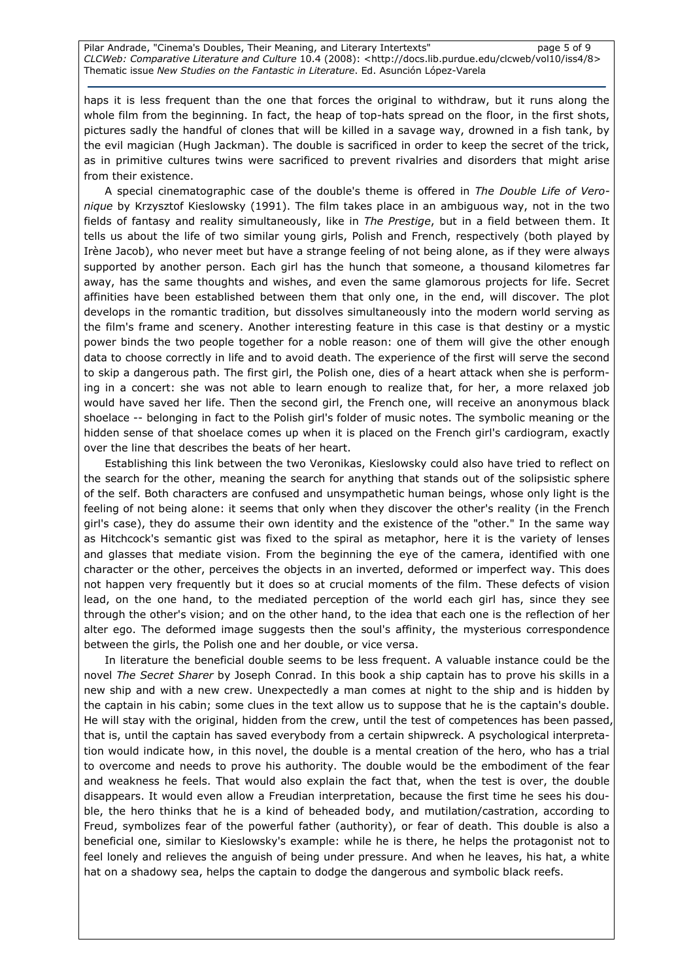Pilar Andrade, "Cinema's Doubles, Their Meaning, and Literary Intertexts" entity and page 5 of 9 CLCWeb: Comparative Literature and Culture 10.4 (2008): <http://docs.lib.purdue.edu/clcweb/vol10/iss4/8> Thematic issue New Studies on the Fantastic in Literature. Ed. Asunción López-Varela

haps it is less frequent than the one that forces the original to withdraw, but it runs along the whole film from the beginning. In fact, the heap of top-hats spread on the floor, in the first shots, pictures sadly the handful of clones that will be killed in a savage way, drowned in a fish tank, by the evil magician (Hugh Jackman). The double is sacrificed in order to keep the secret of the trick, as in primitive cultures twins were sacrificed to prevent rivalries and disorders that might arise from their existence.

A special cinematographic case of the double's theme is offered in The Double Life of Veronique by Krzysztof Kieslowsky (1991). The film takes place in an ambiguous way, not in the two fields of fantasy and reality simultaneously, like in The Prestige, but in a field between them. It tells us about the life of two similar young girls, Polish and French, respectively (both played by Irène Jacob), who never meet but have a strange feeling of not being alone, as if they were always supported by another person. Each girl has the hunch that someone, a thousand kilometres far away, has the same thoughts and wishes, and even the same glamorous projects for life. Secret affinities have been established between them that only one, in the end, will discover. The plot develops in the romantic tradition, but dissolves simultaneously into the modern world serving as the film's frame and scenery. Another interesting feature in this case is that destiny or a mystic power binds the two people together for a noble reason: one of them will give the other enough data to choose correctly in life and to avoid death. The experience of the first will serve the second to skip a dangerous path. The first girl, the Polish one, dies of a heart attack when she is performing in a concert: she was not able to learn enough to realize that, for her, a more relaxed job would have saved her life. Then the second girl, the French one, will receive an anonymous black shoelace -- belonging in fact to the Polish girl's folder of music notes. The symbolic meaning or the hidden sense of that shoelace comes up when it is placed on the French girl's cardiogram, exactly over the line that describes the beats of her heart.

Establishing this link between the two Veronikas, Kieslowsky could also have tried to reflect on the search for the other, meaning the search for anything that stands out of the solipsistic sphere of the self. Both characters are confused and unsympathetic human beings, whose only light is the feeling of not being alone: it seems that only when they discover the other's reality (in the French girl's case), they do assume their own identity and the existence of the "other." In the same way as Hitchcock's semantic gist was fixed to the spiral as metaphor, here it is the variety of lenses and glasses that mediate vision. From the beginning the eye of the camera, identified with one character or the other, perceives the objects in an inverted, deformed or imperfect way. This does not happen very frequently but it does so at crucial moments of the film. These defects of vision lead, on the one hand, to the mediated perception of the world each girl has, since they see through the other's vision; and on the other hand, to the idea that each one is the reflection of her alter ego. The deformed image suggests then the soul's affinity, the mysterious correspondence between the girls, the Polish one and her double, or vice versa.

In literature the beneficial double seems to be less frequent. A valuable instance could be the novel The Secret Sharer by Joseph Conrad. In this book a ship captain has to prove his skills in a new ship and with a new crew. Unexpectedly a man comes at night to the ship and is hidden by the captain in his cabin; some clues in the text allow us to suppose that he is the captain's double. He will stay with the original, hidden from the crew, until the test of competences has been passed, that is, until the captain has saved everybody from a certain shipwreck. A psychological interpretation would indicate how, in this novel, the double is a mental creation of the hero, who has a trial to overcome and needs to prove his authority. The double would be the embodiment of the fear and weakness he feels. That would also explain the fact that, when the test is over, the double disappears. It would even allow a Freudian interpretation, because the first time he sees his double, the hero thinks that he is a kind of beheaded body, and mutilation/castration, according to Freud, symbolizes fear of the powerful father (authority), or fear of death. This double is also a beneficial one, similar to Kieslowsky's example: while he is there, he helps the protagonist not to feel lonely and relieves the anguish of being under pressure. And when he leaves, his hat, a white hat on a shadowy sea, helps the captain to dodge the dangerous and symbolic black reefs.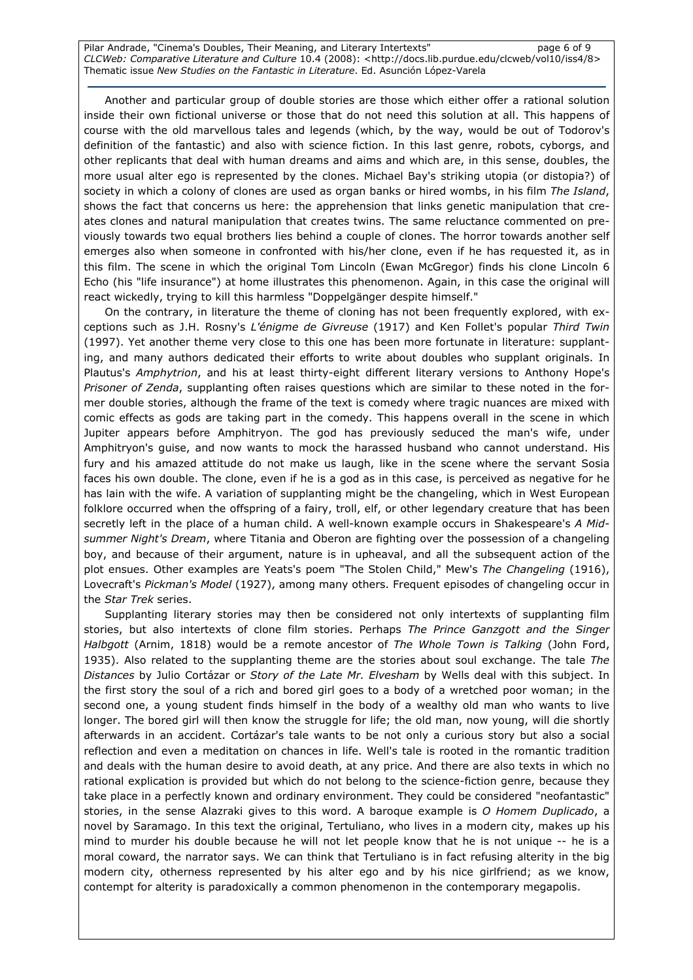Pilar Andrade, "Cinema's Doubles, Their Meaning, and Literary Intertexts" https://www.page 6 of 9 CLCWeb: Comparative Literature and Culture 10.4 (2008): <http://docs.lib.purdue.edu/clcweb/vol10/iss4/8> Thematic issue New Studies on the Fantastic in Literature. Ed. Asunción López-Varela

Another and particular group of double stories are those which either offer a rational solution inside their own fictional universe or those that do not need this solution at all. This happens of course with the old marvellous tales and legends (which, by the way, would be out of Todorov's definition of the fantastic) and also with science fiction. In this last genre, robots, cyborgs, and other replicants that deal with human dreams and aims and which are, in this sense, doubles, the more usual alter ego is represented by the clones. Michael Bay's striking utopia (or distopia?) of society in which a colony of clones are used as organ banks or hired wombs, in his film The Island, shows the fact that concerns us here: the apprehension that links genetic manipulation that creates clones and natural manipulation that creates twins. The same reluctance commented on previously towards two equal brothers lies behind a couple of clones. The horror towards another self emerges also when someone in confronted with his/her clone, even if he has requested it, as in this film. The scene in which the original Tom Lincoln (Ewan McGregor) finds his clone Lincoln 6 Echo (his "life insurance") at home illustrates this phenomenon. Again, in this case the original will react wickedly, trying to kill this harmless "Doppelgänger despite himself."

On the contrary, in literature the theme of cloning has not been frequently explored, with exceptions such as J.H. Rosny's L'énigme de Givreuse (1917) and Ken Follet's popular Third Twin (1997). Yet another theme very close to this one has been more fortunate in literature: supplanting, and many authors dedicated their efforts to write about doubles who supplant originals. In Plautus's Amphytrion, and his at least thirty-eight different literary versions to Anthony Hope's Prisoner of Zenda, supplanting often raises questions which are similar to these noted in the former double stories, although the frame of the text is comedy where tragic nuances are mixed with comic effects as gods are taking part in the comedy. This happens overall in the scene in which Jupiter appears before Amphitryon. The god has previously seduced the man's wife, under Amphitryon's guise, and now wants to mock the harassed husband who cannot understand. His fury and his amazed attitude do not make us laugh, like in the scene where the servant Sosia faces his own double. The clone, even if he is a god as in this case, is perceived as negative for he has lain with the wife. A variation of supplanting might be the changeling, which in West European folklore occurred when the offspring of a fairy, troll, elf, or other legendary creature that has been secretly left in the place of a human child. A well-known example occurs in Shakespeare's A Midsummer Night's Dream, where Titania and Oberon are fighting over the possession of a changeling boy, and because of their argument, nature is in upheaval, and all the subsequent action of the plot ensues. Other examples are Yeats's poem "The Stolen Child," Mew's The Changeling (1916), Lovecraft's Pickman's Model (1927), among many others. Frequent episodes of changeling occur in the Star Trek series.

Supplanting literary stories may then be considered not only intertexts of supplanting film stories, but also intertexts of clone film stories. Perhaps The Prince Ganzgott and the Singer Halbgott (Arnim, 1818) would be a remote ancestor of The Whole Town is Talking (John Ford, 1935). Also related to the supplanting theme are the stories about soul exchange. The tale The Distances by Julio Cortázar or Story of the Late Mr. Elvesham by Wells deal with this subject. In the first story the soul of a rich and bored girl goes to a body of a wretched poor woman; in the second one, a young student finds himself in the body of a wealthy old man who wants to live longer. The bored girl will then know the struggle for life; the old man, now young, will die shortly afterwards in an accident. Cortázar's tale wants to be not only a curious story but also a social reflection and even a meditation on chances in life. Well's tale is rooted in the romantic tradition and deals with the human desire to avoid death, at any price. And there are also texts in which no rational explication is provided but which do not belong to the science-fiction genre, because they take place in a perfectly known and ordinary environment. They could be considered "neofantastic" stories, in the sense Alazraki gives to this word. A baroque example is O Homem Duplicado, a novel by Saramago. In this text the original, Tertuliano, who lives in a modern city, makes up his mind to murder his double because he will not let people know that he is not unique -- he is a moral coward, the narrator says. We can think that Tertuliano is in fact refusing alterity in the big modern city, otherness represented by his alter ego and by his nice girlfriend; as we know, contempt for alterity is paradoxically a common phenomenon in the contemporary megapolis.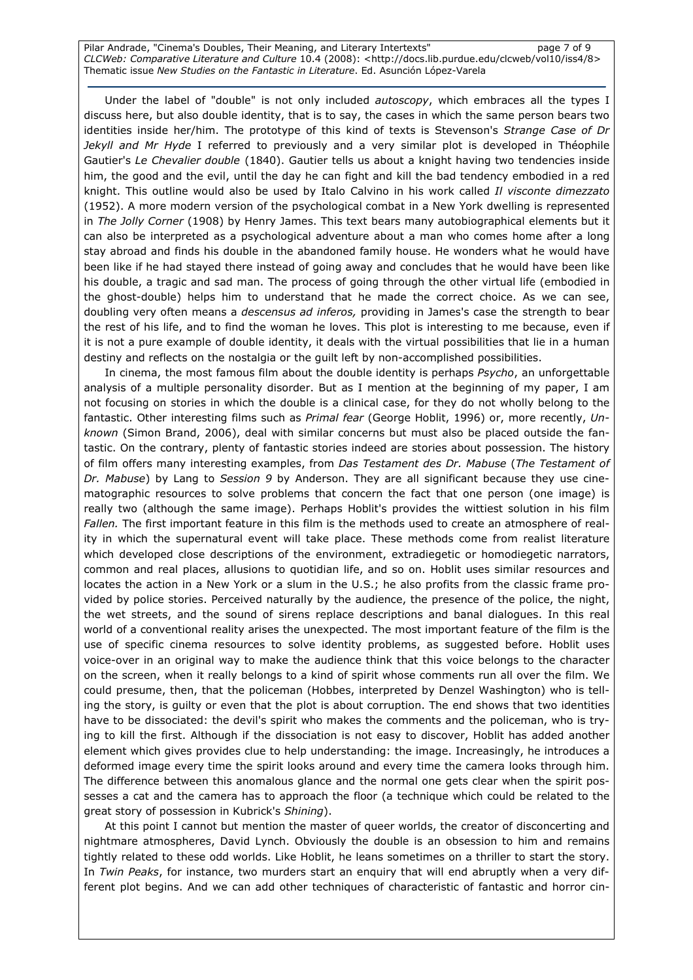Pilar Andrade, "Cinema's Doubles, Their Meaning, and Literary Intertexts" entity and page 7 of 9 CLCWeb: Comparative Literature and Culture 10.4 (2008): <http://docs.lib.purdue.edu/clcweb/vol10/iss4/8> Thematic issue New Studies on the Fantastic in Literature. Ed. Asunción López-Varela

Under the label of "double" is not only included *autoscopy*, which embraces all the types I discuss here, but also double identity, that is to say, the cases in which the same person bears two identities inside her/him. The prototype of this kind of texts is Stevenson's Strange Case of Dr Jekyll and Mr Hyde I referred to previously and a very similar plot is developed in Théophile Gautier's Le Chevalier double (1840). Gautier tells us about a knight having two tendencies inside him, the good and the evil, until the day he can fight and kill the bad tendency embodied in a red knight. This outline would also be used by Italo Calvino in his work called Il visconte dimezzato (1952). A more modern version of the psychological combat in a New York dwelling is represented in The Jolly Corner (1908) by Henry James. This text bears many autobiographical elements but it can also be interpreted as a psychological adventure about a man who comes home after a long stay abroad and finds his double in the abandoned family house. He wonders what he would have been like if he had stayed there instead of going away and concludes that he would have been like his double, a tragic and sad man. The process of going through the other virtual life (embodied in the ghost-double) helps him to understand that he made the correct choice. As we can see, doubling very often means a *descensus ad inferos*, providing in James's case the strength to bear the rest of his life, and to find the woman he loves. This plot is interesting to me because, even if it is not a pure example of double identity, it deals with the virtual possibilities that lie in a human destiny and reflects on the nostalgia or the guilt left by non-accomplished possibilities.

In cinema, the most famous film about the double identity is perhaps Psycho, an unforgettable analysis of a multiple personality disorder. But as I mention at the beginning of my paper, I am not focusing on stories in which the double is a clinical case, for they do not wholly belong to the fantastic. Other interesting films such as Primal fear (George Hoblit, 1996) or, more recently, Unknown (Simon Brand, 2006), deal with similar concerns but must also be placed outside the fantastic. On the contrary, plenty of fantastic stories indeed are stories about possession. The history of film offers many interesting examples, from Das Testament des Dr. Mabuse (The Testament of Dr. Mabuse) by Lang to Session 9 by Anderson. They are all significant because they use cinematographic resources to solve problems that concern the fact that one person (one image) is really two (although the same image). Perhaps Hoblit's provides the wittiest solution in his film Fallen. The first important feature in this film is the methods used to create an atmosphere of reality in which the supernatural event will take place. These methods come from realist literature which developed close descriptions of the environment, extradiegetic or homodiegetic narrators, common and real places, allusions to quotidian life, and so on. Hoblit uses similar resources and locates the action in a New York or a slum in the U.S.; he also profits from the classic frame provided by police stories. Perceived naturally by the audience, the presence of the police, the night, the wet streets, and the sound of sirens replace descriptions and banal dialogues. In this real world of a conventional reality arises the unexpected. The most important feature of the film is the use of specific cinema resources to solve identity problems, as suggested before. Hoblit uses voice-over in an original way to make the audience think that this voice belongs to the character on the screen, when it really belongs to a kind of spirit whose comments run all over the film. We could presume, then, that the policeman (Hobbes, interpreted by Denzel Washington) who is telling the story, is guilty or even that the plot is about corruption. The end shows that two identities have to be dissociated: the devil's spirit who makes the comments and the policeman, who is trying to kill the first. Although if the dissociation is not easy to discover, Hoblit has added another element which gives provides clue to help understanding: the image. Increasingly, he introduces a deformed image every time the spirit looks around and every time the camera looks through him. The difference between this anomalous glance and the normal one gets clear when the spirit possesses a cat and the camera has to approach the floor (a technique which could be related to the great story of possession in Kubrick's Shining).

At this point I cannot but mention the master of queer worlds, the creator of disconcerting and nightmare atmospheres, David Lynch. Obviously the double is an obsession to him and remains tightly related to these odd worlds. Like Hoblit, he leans sometimes on a thriller to start the story. In Twin Peaks, for instance, two murders start an enquiry that will end abruptly when a very different plot begins. And we can add other techniques of characteristic of fantastic and horror cin-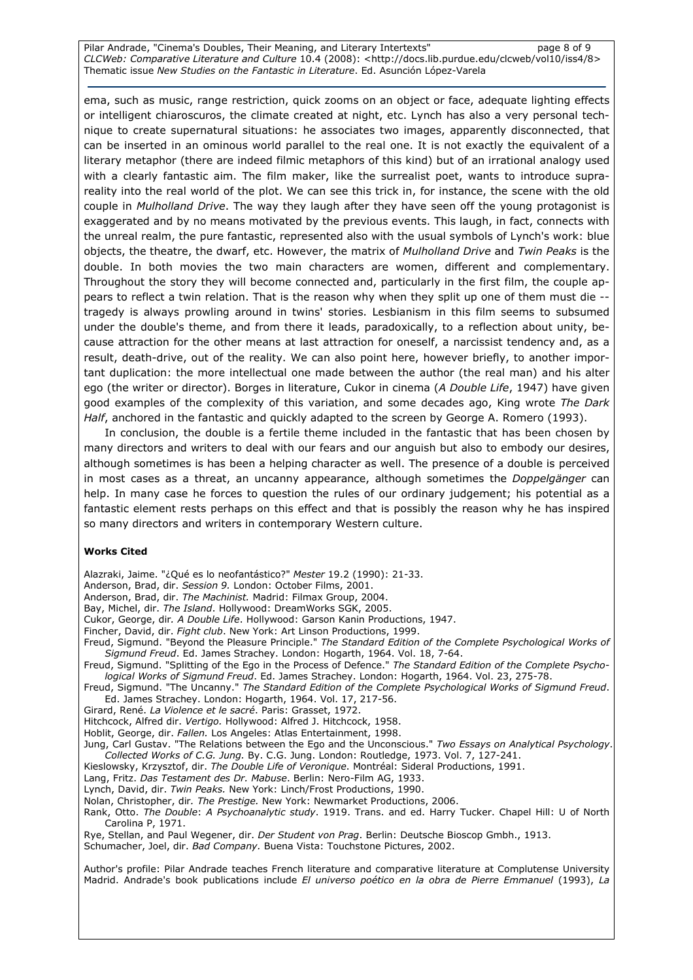Pilar Andrade, "Cinema's Doubles, Their Meaning, and Literary Intertexts" page 8 of 9 CLCWeb: Comparative Literature and Culture 10.4 (2008): <http://docs.lib.purdue.edu/clcweb/vol10/iss4/8> Thematic issue New Studies on the Fantastic in Literature. Ed. Asunción López-Varela

ema, such as music, range restriction, quick zooms on an object or face, adequate lighting effects or intelligent chiaroscuros, the climate created at night, etc. Lynch has also a very personal technique to create supernatural situations: he associates two images, apparently disconnected, that can be inserted in an ominous world parallel to the real one. It is not exactly the equivalent of a literary metaphor (there are indeed filmic metaphors of this kind) but of an irrational analogy used with a clearly fantastic aim. The film maker, like the surrealist poet, wants to introduce suprareality into the real world of the plot. We can see this trick in, for instance, the scene with the old couple in Mulholland Drive. The way they laugh after they have seen off the young protagonist is exaggerated and by no means motivated by the previous events. This laugh, in fact, connects with the unreal realm, the pure fantastic, represented also with the usual symbols of Lynch's work: blue objects, the theatre, the dwarf, etc. However, the matrix of Mulholland Drive and Twin Peaks is the double. In both movies the two main characters are women, different and complementary. Throughout the story they will become connected and, particularly in the first film, the couple appears to reflect a twin relation. That is the reason why when they split up one of them must die - tragedy is always prowling around in twins' stories. Lesbianism in this film seems to subsumed under the double's theme, and from there it leads, paradoxically, to a reflection about unity, because attraction for the other means at last attraction for oneself, a narcissist tendency and, as a result, death-drive, out of the reality. We can also point here, however briefly, to another important duplication: the more intellectual one made between the author (the real man) and his alter ego (the writer or director). Borges in literature, Cukor in cinema (A Double Life, 1947) have given good examples of the complexity of this variation, and some decades ago, King wrote The Dark Half, anchored in the fantastic and quickly adapted to the screen by George A. Romero (1993).

In conclusion, the double is a fertile theme included in the fantastic that has been chosen by many directors and writers to deal with our fears and our anguish but also to embody our desires, although sometimes is has been a helping character as well. The presence of a double is perceived in most cases as a threat, an uncanny appearance, although sometimes the *Doppelgänger* can help. In many case he forces to question the rules of our ordinary judgement; his potential as a fantastic element rests perhaps on this effect and that is possibly the reason why he has inspired so many directors and writers in contemporary Western culture.

#### Works Cited

Alazraki, Jaime. "¿Qué es lo neofantástico?" Mester 19.2 (1990): 21-33.

Anderson, Brad, dir. Session 9. London: October Films, 2001.

Anderson, Brad, dir. The Machinist. Madrid: Filmax Group, 2004.

Bay, Michel, dir. The Island. Hollywood: DreamWorks SGK, 2005.

Cukor, George, dir. A Double Life. Hollywood: Garson Kanin Productions, 1947.

Fincher, David, dir. Fight club. New York: Art Linson Productions, 1999.

Freud, Sigmund. "Beyond the Pleasure Principle." The Standard Edition of the Complete Psychological Works of Sigmund Freud. Ed. James Strachey. London: Hogarth, 1964. Vol. 18, 7-64.

Freud, Sigmund. "Splitting of the Ego in the Process of Defence." The Standard Edition of the Complete Psychological Works of Sigmund Freud. Ed. James Strachey. London: Hogarth, 1964. Vol. 23, 275-78.

Freud, Sigmund. "The Uncanny." The Standard Edition of the Complete Psychological Works of Sigmund Freud. Ed. James Strachey. London: Hogarth, 1964. Vol. 17, 217-56.

Girard, René. La Violence et le sacré. Paris: Grasset, 1972.

Hitchcock, Alfred dir. Vertigo. Hollywood: Alfred J. Hitchcock, 1958.

Hoblit, George, dir. Fallen. Los Angeles: Atlas Entertainment, 1998.

Jung, Carl Gustav. "The Relations between the Ego and the Unconscious." Two Essays on Analytical Psychology. Collected Works of C.G. Jung. By. C.G. Jung. London: Routledge, 1973. Vol. 7, 127-241.

Kieslowsky, Krzysztof, dir. The Double Life of Veronique. Montréal: Sideral Productions, 1991.

Lang, Fritz. Das Testament des Dr. Mabuse. Berlin: Nero-Film AG, 1933.

Lynch, David, dir. Twin Peaks. New York: Linch/Frost Productions, 1990.

Nolan, Christopher, dir. The Prestige. New York: Newmarket Productions, 2006.

Rank, Otto. The Double: A Psychoanalytic study. 1919. Trans. and ed. Harry Tucker. Chapel Hill: U of North Carolina P, 1971.

Rye, Stellan, and Paul Wegener, dir. Der Student von Prag. Berlin: Deutsche Bioscop Gmbh., 1913. Schumacher, Joel, dir. Bad Company. Buena Vista: Touchstone Pictures, 2002.

Author's profile: Pilar Andrade teaches French literature and comparative literature at Complutense University Madrid. Andrade's book publications include El universo poético en la obra de Pierre Emmanuel (1993), La